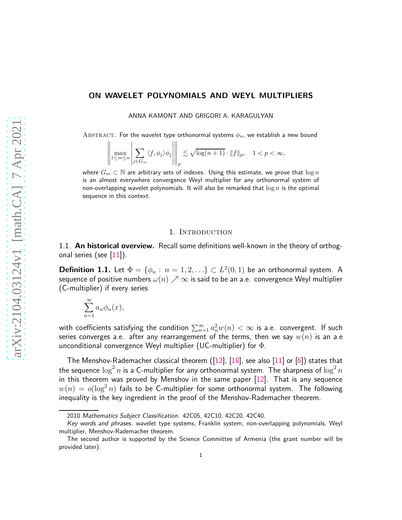## **ON WAVELET POLYNOMIALS AND WEYL MULTIPLIERS**

ANNA KAMONT AND GRIGORI A. KARAGULYAN

ABSTRACT. For the wavelet type orthonormal systems  $\phi_n$ , we establish a new bound

$$
\left\|\max_{1\leq m\leq n}\left|\sum_{j\in G_m}\langle f,\phi_j\rangle\phi_j\right|\right\|_p\lesssim \sqrt{\log(n+1)}\cdot \|f\|_p,\quad 1
$$

where *<sup>G</sup><sup>m</sup>* <sup>⊂</sup> <sup>N</sup> are arbitrary sets of indexes. Using this estimate, we prove that log *<sup>n</sup>* is an almost everywhere convergence Weyl multiplier for any orthonormal system of non-overlapping wavelet polynomials. It will also be remarked that log *n* is the optimal sequence in this context.

#### 1. INTRODUCTION

1.1. **An historical overview.** Recall some definitions well-known in the theory of orthogonal series (see  $|11|$ ).

**Definition 1.1.** Let  $\Phi = \{\phi_n : n = 1, 2, ...\} \subset L^2(0,1)$  be an orthonormal system. A sequence of positive numbers  $\omega(n) \nearrow \infty$  is said to be an a.e. convergence Weyl multiplier (C-multiplier) if every series

$$
\sum_{n=1}^{\infty} a_n \phi_n(x),
$$

with coefficients satisfying the condition  $\sum_{n=1}^{\infty} a_n^2 w(n) < \infty$  is a.e. convergent. If such series converges a.e. after any rearrangement of the terms, then we say *w*(*n*) is an a.e unconditional convergence Weyl multiplier (UC-multiplier) for  $\Phi$ .

The Menshov-Rademacher classical theorem  $(12]$ ,  $[18]$ , see also  $[11]$  or  $[6]$ ) states that the sequence  $\log^2 n$  is a C-multiplier for any orthonormal system. The sharpness of  $\log^2 n$ in this theorem was proved by Menshov in the same paper [\[12\]](#page-15-1). That is any sequence  $w(n) = o(\log^2 n)$  fails to be C-multiplier for some orthonormal system. The following inequality is the key ingredient in the proof of the Menshov-Rademacher theorem.

<sup>2010</sup> *Mathematics Subject Classification.* 42C05, 42C10, 42C20, 42C40.

*Key words and phrases.* wavelet type systems, Franklin system, non-overlapping polynomials, Weyl multiplier, Menshov-Rademacher theorem.

The second author is supported by the Science Committee of Armenia (the grant number will be provided later).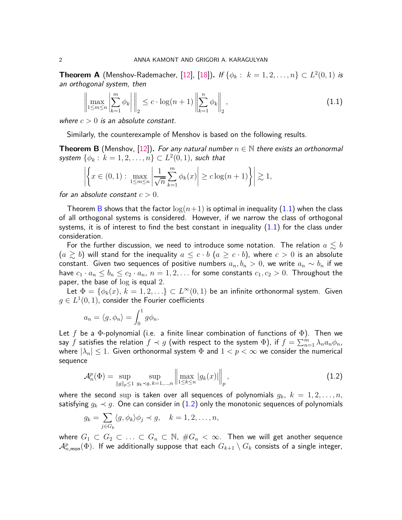<span id="page-1-3"></span>**Theorem A** (Menshov-Rademacher, [\[12\]](#page-15-1), [\[18\]](#page-16-0)). If  $\{\phi_k : k = 1, 2, ..., n\} \subset L^2(0, 1)$  is an orthogonal system, then

<span id="page-1-1"></span>
$$
\left\| \max_{1 \le m \le n} \left| \sum_{k=1}^{m} \phi_k \right| \right\|_2 \le c \cdot \log(n+1) \left\| \sum_{k=1}^{n} \phi_k \right\|_2,
$$
\n(1.1)

where  $c > 0$  is an absolute constant.

Similarly, the counterexample of Menshov is based on the following results.

<span id="page-1-0"></span>**Theorem B** (Menshov, [\[12\]](#page-15-1)). For any natural number  $n \in \mathbb{N}$  there exists an orthonormal  $s$ ystem  $\{\phi_k : k = 1, 2, \ldots, n\} \subset L^2(0, 1)$ , such that

$$
\left| \left\{ x \in (0,1) : \max_{1 \le m \le n} \left| \frac{1}{\sqrt{n}} \sum_{k=1}^m \phi_k(x) \right| \ge c \log(n+1) \right\} \right| \gtrsim 1,
$$

for an absolute constant  $c > 0$ .

Theorem [B](#page-1-0) shows that the factor  $\log(n+1)$  is optimal in inequality [\(1.1\)](#page-1-1) when the class of all orthogonal systems is considered. However, if we narrow the class of orthogonal systems, it is of interest to find the best constant in inequality  $(1.1)$  for the class under consideration.

For the further discussion, we need to introduce some notation. The relation  $a \lesssim b$  $(a \geq b)$  will stand for the inequality  $a \leq c \cdot b$   $(a \geq c \cdot b)$ , where  $c > 0$  is an absolute constant. Given two sequences of positive numbers  $a_n, b_n > 0$ , we write  $a_n \sim b_n$  if we have  $c_1 \cdot a_n \leq b_n \leq c_2 \cdot a_n$ ,  $n = 1, 2, \ldots$  for some constants  $c_1, c_2 > 0$ . Throughout the paper, the base of log is equal 2.

Let  $\Phi = \{\phi_k(x), k = 1, 2, \ldots\} \subset L^{\infty}(0, 1)$  be an infinite orthonormal system. Given  $g \in L^1(0,1)$ , consider the Fourier coefficients

$$
a_n = \langle g, \phi_n \rangle = \int_0^1 g \phi_n.
$$

Let *f* be a Φ-polynomial (i.e. a finite linear combination of functions of Φ). Then we say *f* satisfies the relation  $f \prec g$  (with respect to the system  $\Phi$ ), if  $f = \sum_{n=1}^{m} \lambda_n a_n \phi_n$ , where  $|\lambda_n| \leq 1$ . Given orthonormal system  $\Phi$  and  $1 < p < \infty$  we consider the numerical sequence

<span id="page-1-2"></span> $\mathbf{r}$ 

$$
\mathcal{A}_{n}^{p}(\Phi) = \sup_{\|g\|_{p} \leq 1} \sup_{g_{k} \prec g, k=1,...,n} \left\| \max_{1 \leq k \leq n} |g_{k}(x)| \right\|_{p}, \tag{1.2}
$$

where the second sup is taken over all sequences of polynomials  $g_k$ ,  $k = 1, 2, \ldots, n$ , satisfying  $g_k \prec g$ . One can consider in [\(1.2\)](#page-1-2) only the monotonic sequences of polynomials

$$
g_k = \sum_{j \in G_k} \langle g, \phi_k \rangle \phi_j \prec g, \quad k = 1, 2, \dots, n,
$$

where  $G_1 \subset G_2 \subset \ldots \subset G_n \subset \mathbb{N}$ ,  $\#G_n < \infty$ . Then we will get another sequence  $\mathcal{A}_{n,\mathsf{mon}}^p(\Phi)$ . If we additionally suppose that each  $G_{k+1}\setminus G_k$  consists of a single integer,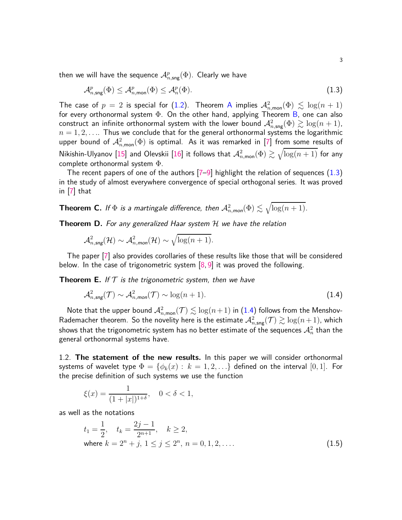then we will have the sequence  ${\cal A}_{n,\mathsf{sng}}^p(\Phi).$  Clearly we have

<span id="page-2-0"></span>
$$
\mathcal{A}_{n,\text{sing}}^p(\Phi) \le \mathcal{A}_{n,\text{mon}}^p(\Phi) \le \mathcal{A}_n^p(\Phi). \tag{1.3}
$$

The case of  $p = 2$  is special for [\(1.2\)](#page-1-2). Theorem [A](#page-1-3) implies  $\mathcal{A}_{n,\text{mon}}^2(\Phi) \leq \log(n+1)$ for every orthonormal system  $\Phi$ . On the other hand, applying Theorem [B,](#page-1-0) one can also construct an infinite orthonormal system with the lower bound  $\mathcal{A}_{n,\mathsf{sing}}^2(\Phi) \gtrsim \log(n+1)$ ,  $n = 1, 2, \ldots$  Thus we conclude that for the general orthonormal systems the logarithmic upper bound of  ${\cal A}^2_{n,\textsf{mon}}(\Phi)$  is optimal. As it was remarked in [\[7\]](#page-15-3) fro<u>m some re</u>sults of Nikishin-Ulyanov [\[15\]](#page-15-4) and Olevskii [\[16\]](#page-15-5) it follows that  ${\cal A}^2_{n,\textsf{mon}}(\Phi) \gtrsim \sqrt{\log(n+1)}$  for any complete orthonormal system Φ.

The recent papers of one of the authors  $[7-9]$  $[7-9]$  highlight the relation of sequences  $(1.3)$ in the study of almost everywhere convergence of special orthogonal series. It was proved in [\[7\]](#page-15-3) that

<span id="page-2-2"></span>**Theorem C.** If  $\Phi$  is a martingale difference, then  $\mathcal{A}^2_{n,\textit{mon}}(\Phi) \lesssim \sqrt{\log (n+1)}.$ 

<span id="page-2-3"></span>**Theorem D.** For any generalized Haar system H we have the relation

$$
\mathcal{A}_{n, \mathsf{sing}}^2(\mathcal{H}) \sim \mathcal{A}_{n, \mathsf{mon}}^2(\mathcal{H}) \sim \sqrt{\log(n+1)}.
$$

The paper [\[7\]](#page-15-3) also provides corollaries of these results like those that will be considered below. In the case of trigonometric system  $[8, 9]$  $[8, 9]$  it was proved the following.

**Theorem E.** If  $T$  is the trigonometric system, then we have

<span id="page-2-1"></span>
$$
\mathcal{A}_{n, \text{sing}}^2(\mathcal{T}) \sim \mathcal{A}_{n, \text{mon}}^2(\mathcal{T}) \sim \log(n+1). \tag{1.4}
$$

Note that the upper bound  $\mathcal{A}^2_{n,\mathsf{mon}}(\mathcal{T}) \lesssim \log(n+1)$  in  $(1.4)$  follows from the Menshov-Rademacher theorem. So the novelity here is the estimate  $\mathcal{A}_{n,\mathsf{sing}}^2(\mathcal{T}) \gtrsim \log(n+1)$ , which shows that the trigonometric system has no better estimate of the sequences  $\mathcal{A}_n^2$  than the general orthonormal systems have.

1.2. **The statement of the new results.** In this paper we will consider orthonormal systems of wavelet type  $\Phi = \{\phi_k(x): k = 1, 2, ...\}$  defined on the interval  $[0, 1]$ . For the precise definition of such systems we use the function

$$
\xi(x) = \frac{1}{(1+|x|)^{1+\delta}}, \quad 0 < \delta < 1,
$$

as well as the notations

<span id="page-2-4"></span>
$$
t_1 = \frac{1}{2}, \quad t_k = \frac{2j - 1}{2^{n+1}}, \quad k \ge 2,
$$
  
where  $k = 2^n + j, 1 \le j \le 2^n, n = 0, 1, 2, ....$  (1.5)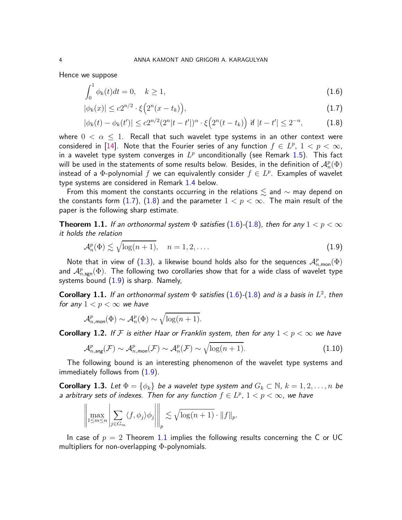Hence we suppose

<span id="page-3-2"></span><span id="page-3-0"></span>
$$
\int_0^1 \phi_k(t)dt = 0, \quad k \ge 1,
$$
\n(1.6)

<span id="page-3-1"></span>
$$
|\phi_k(x)| \le c2^{n/2} \cdot \xi\Big(2^n(x - t_k)\Big),\tag{1.7}
$$

$$
|\phi_k(t) - \phi_k(t')| \le c2^{n/2} (2^n |t - t'|)^{\alpha} \cdot \xi(2^n (t - t_k)) \text{ if } |t - t'| \le 2^{-n}, \tag{1.8}
$$

where  $0 < \alpha \leq 1$ . Recall that such wavelet type systems in an other context were considered in [\[14\]](#page-15-8). Note that the Fourier series of any function  $f \in L^p$ ,  $1 < p < \infty$ , in a wavelet type system converges in  $L^p$  unconditionally (see Remark  $1.5)$ . This fact will be used in the statements of some results below. Besides, in the definition of  $\mathcal{A}_n^p(\Phi)$ instead of a  $\Phi$ -polynomial  $f$  we can equivalently consider  $f \in L^p$ . Examples of wavelet type systems are considered in Remark [1.4](#page-5-1) below.

From this moment the constants occurring in the relations  $\lesssim$  and  $\sim$  may depend on the constants form  $(1.7)$ ,  $(1.8)$  and the parameter  $1 < p < \infty$ . The main result of the paper is the following sharp estimate.

<span id="page-3-4"></span>**Theorem 1.1.** If an orthonormal system  $\Phi$  satisfies [\(1.6\)](#page-3-2)-[\(1.8\)](#page-3-1), then for any  $1 < p < \infty$ it holds the relation

<span id="page-3-3"></span>
$$
\mathcal{A}_n^p(\Phi) \lesssim \sqrt{\log(n+1)}, \quad n = 1, 2, \dots \tag{1.9}
$$

Note that in view of [\(1.3\)](#page-2-0), a likewise bound holds also for the sequences  $\mathcal{A}_{n,\mathsf{mon}}^p(\Phi)$ and  $\mathcal{A}_{n,\mathsf{sgn}}^p(\Phi)$ . The following two corollaries show that for a wide class of wavelet type systems bound  $(1.9)$  is sharp. Namely,

<span id="page-3-6"></span>**Corollary 1.1.** If an orthonormal system  $\Phi$  satisfies  $(1.6)$ - $(1.8)$  and is a basis in  $L^2$ , then for any  $1 < p < \infty$  we have

$$
\mathcal{A}_{n,\text{mon}}^p(\Phi) \sim \mathcal{A}_n^p(\Phi) \sim \sqrt{\log(n+1)}.
$$

<span id="page-3-7"></span>**Corollary 1.2.** If F is either Haar or Franklin system, then for any  $1 < p < \infty$  we have

<span id="page-3-8"></span>
$$
\mathcal{A}_{n, \mathsf{sing}}^p(\mathcal{F}) \sim \mathcal{A}_{n, \mathsf{mon}}^p(\mathcal{F}) \sim \mathcal{A}_n^p(\mathcal{F}) \sim \sqrt{\log(n+1)}.
$$
\n(1.10)

The following bound is an interesting phenomenon of the wavelet type systems and immediately follows from  $(1.9)$ .

<span id="page-3-5"></span>**Corollary 1.3.** Let  $\Phi = \{\phi_k\}$  be a wavelet type system and  $G_k \subset \mathbb{N}$ ,  $k = 1, 2, ..., n$  be a arbitrary sets of indexes. Then for any function  $f \in L^p$ ,  $1 < p < \infty$ , we have

$$
\left\|\max_{1\leq m\leq n}\left|\sum_{j\in G_m}\langle f,\phi_j\rangle\phi_j\right|\right\|_p \lesssim \sqrt{\log(n+1)}\cdot \|f\|_p.
$$

In case of  $p = 2$  Theorem [1.1](#page-3-4) implies the following results concerning the C or UC multipliers for non-overlapping  $\Phi$ -polynomials.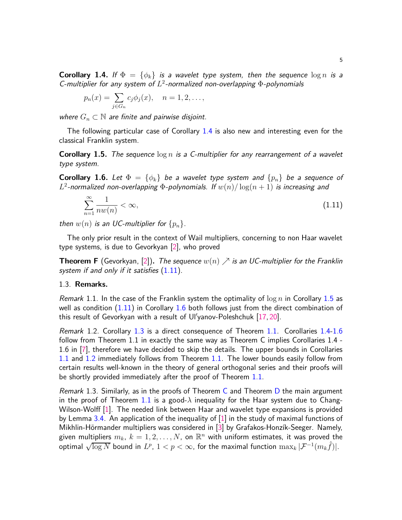<span id="page-4-0"></span>**Corollary 1.4.** If  $\Phi = {\varphi_k}$  is a wavelet type system, then the sequence  $\log n$  is a C-multiplier for any system of *L* 2 -normalized non-overlapping Φ-polynomials

$$
p_n(x) = \sum_{j \in G_n} c_j \phi_j(x), \quad n = 1, 2, \dots,
$$

where  $G_n \subset \mathbb{N}$  are finite and pairwise disjoint.

The following particular case of Corollary [1.4](#page-4-0) is also new and interesting even for the classical Franklin system.

<span id="page-4-2"></span>**Corollary 1.5.** The sequence log *n* is a C-multiplier for any rearrangement of a wavelet type system.

<span id="page-4-3"></span>**Corollary 1.6.** Let  $\Phi = {\phi_k}$  be a wavelet type system and  ${\{p_n\}}$  be a sequence of  $L^2$ -normalized non-overlapping  $\Phi$ -polynomials. If  $w(n)/\log(n+1)$  is increasing and

<span id="page-4-1"></span>
$$
\sum_{n=1}^{\infty} \frac{1}{nw(n)} < \infty,\tag{1.11}
$$

then  $w(n)$  is an UC-multiplier for  $\{p_n\}$ .

The only prior result in the context of Wail multipliers, concerning to non Haar wavelet type systems, is due to Gevorkyan [\[2\]](#page-15-9), who proved

**Theorem F** (Gevorkyan, [\[2\]](#page-15-9)). The sequence  $w(n) \nearrow$  is an UC-multiplier for the Franklin system if and only if it satisfies  $(1.11)$ .

## 1.3. **Remarks.**

Remark 1.1. In the case of the Franklin system the optimality of log *n* in Corollary [1.5](#page-4-2) as well as condition  $(1.11)$  in Corollary [1.6](#page-4-3) both follows just from the direct combination of this result of Gevorkyan with a result of Ul′ yanov-Poleshchuk [\[17,](#page-15-10) [20\]](#page-16-1).

Remark 1.2. Corollary [1.3](#page-3-5) is a direct consequence of Theorem [1.1.](#page-3-4) Corollaries [1.4](#page-4-0)[-1.6](#page-4-3) follow from Theorem 1.1 in exactly the same way as Theorem C implies Corollaries 1.4 - 1.6 in [\[7\]](#page-15-3), therefore we have decided to skip the details. The upper bounds in Corollaries [1.1](#page-3-6) and [1.2](#page-3-7) immediately follows from Theorem [1.1.](#page-3-4) The lower bounds easily follow from certain results well-known in the theory of general orthogonal series and their proofs will be shortly provided immediately after the proof of Theorem [1.1.](#page-3-4)

*Remark* 1.3. Similarly, as in the proofs of Theorem [C](#page-2-2) and Theorem [D](#page-2-3) the main argument in the proof of Theorem [1.1](#page-3-4) is a good- $\lambda$  inequality for the Haar system due to Chang-Wilson-Wolff [\[1\]](#page-15-11). The needed link between Haar and wavelet type expansions is provided by Lemma [3.4.](#page-11-0) An application of the inequality of  $[1]$  in the study of maximal functions of Mikhlin-Hörmander multipliers was considered in [\[3\]](#page-15-12) by Grafakos-Honzík-Seeger. Namely, given multipliers  $m_k, \ k=1,2,\ldots,N,$  on  $\mathbb{R}^n$  with uniform estimates, it was proved the  $\frac{1}{2}$  optimal  $\sqrt{\log N}$  bound in  $L^p$ ,  $1 < p < \infty$ , for the maximal function  $\max_k |\mathcal{F}^{-1}(m_k \hat{f})|.$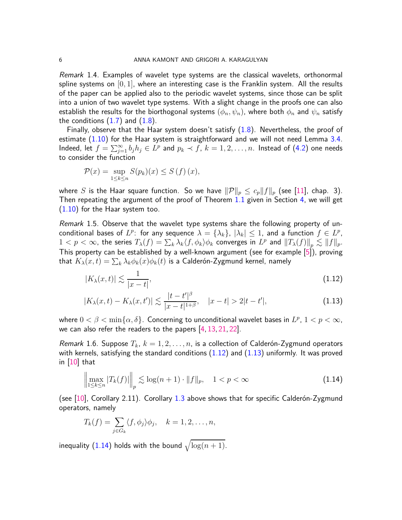<span id="page-5-1"></span>Remark 1.4. Examples of wavelet type systems are the classical wavelets, orthonormal spline systems on [0*,* 1], where an interesting case is the Franklin system. All the results of the paper can be applied also to the periodic wavelet systems, since those can be split into a union of two wavelet type systems. With a slight change in the proofs one can also establish the results for the biorthogonal systems  $(\phi_n, \psi_n)$ , where both  $\phi_n$  and  $\psi_n$  satisfy the conditions  $(1.7)$  and  $(1.8)$ .

Finally, observe that the Haar system doesn't satisfy  $(1.8)$ . Nevertheless, the proof of estimate [\(1.10\)](#page-3-8) for the Haar system is straightforward and we will not need Lemma [3.4.](#page-11-0) Indeed, let  $f = \sum_{j=1}^{\infty} b_j h_j \in L^p$  and  $p_k \prec f$ ,  $k = 1, 2, ..., n$ . Instead of [\(4.2\)](#page-13-0) one needs to consider the function

$$
\mathcal{P}(x) = \sup_{1 \le k \le n} S(p_k)(x) \le S(f)(x),
$$

where *S* is the Haar square function. So we have  $\|\mathcal{P}\|_p \leq c_p \|f\|_p$  (see [\[11\]](#page-15-0), chap. 3). Then repeating the argument of the proof of Theorem [1.1](#page-3-4) given in Section [4,](#page-13-1) we will get [\(1.10\)](#page-3-8) for the Haar system too.

<span id="page-5-0"></span>Remark 1.5. Observe that the wavelet type systems share the following property of unconditional bases of  $L^p$ : for any sequence  $\lambda = {\lambda_k}$ ,  $|\lambda_k| \le 1$ , and a function  $f \in L^p$ ,  $1 < p < \infty$ , the series  $T_{\lambda}(f) = \sum_{k} \lambda_{k} \langle f, \phi_{k} \rangle \phi_{k}$  converges in  $L^{p}$  and  $||T_{\lambda}(f)||_{p} \lesssim ||f||_{p}$ . This property can be established by a well-known argument (see for example [\[5\]](#page-15-13)), proving  $\text{that}\ \, K_\lambda(x,t)=\sum_k \lambda_k \phi_k(x)\phi_k(t)$  is a Calderón-Zygmund kernel, namely

<span id="page-5-3"></span><span id="page-5-2"></span>
$$
|K_{\lambda}(x,t)| \lesssim \frac{1}{|x-t|},\tag{1.12}
$$

$$
|K_{\lambda}(x,t) - K_{\lambda}(x,t')| \lesssim \frac{|t - t'|^{\beta}}{|x - t|^{1 + \beta}}, \quad |x - t| > 2|t - t'|,
$$
\n(1.13)

where  $0 < \beta < \min\{\alpha, \delta\}$ . Concerning to unconditional wavelet bases in  $L^p$ ,  $1 < p < \infty$ , we can also refer the readers to the papers [\[4,](#page-15-14) [13,](#page-15-15) [21,](#page-16-2) [22\]](#page-16-3).

Remark 1.6. Suppose  $T_k$ ,  $k = 1, 2, \ldots, n$ , is a collection of Calderón-Zygmund operators with kernels, satisfying the standard conditions  $(1.12)$  and  $(1.13)$  uniformly. It was proved in [\[10\]](#page-15-16) that

<span id="page-5-4"></span>
$$
\left\| \max_{1 \le k \le n} |T_k(f)| \right\|_p \lesssim \log(n+1) \cdot \|f\|_p, \quad 1 < p < \infty \tag{1.14}
$$

(see  $[10]$ , Corollary 2.11). Corollary [1.3](#page-3-5) above shows that for specific Calderon-Zygmund operators, namely

$$
T_k(f) = \sum_{j \in G_k} \langle f, \phi_j \rangle \phi_j, \quad k = 1, 2, \dots, n,
$$

inequality [\(1.14\)](#page-5-4) holds with the bound  $\sqrt{\log (n+1)}$ .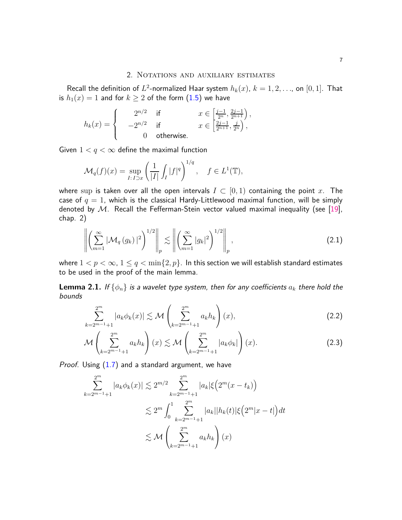#### 2. NOTATIONS AND AUXILIARY ESTIMATES

Recall the definition of  $L^2$ -normalized Haar system  $h_k(x)$ ,  $k=1,2,\ldots$ , on  $[0,1]$ . That is  $h_1(x) = 1$  and for  $k \ge 2$  of the form  $(1.5)$  we have

$$
h_k(x)=\begin{cases} &2^{n/2} \quad \text{if} \quad &x\in\left[\frac{j-1}{2^n},\frac{2j-1}{2^{n+1}}\right),\\ &-2^{n/2} \quad \text{if} \quad &x\in\left[\frac{2j-1}{2^{n+1}},\frac{j}{2^n}\right),\\ 0 \quad \text{otherwise.} \end{cases}
$$

Given  $1 < q < \infty$  define the maximal function

$$
\mathcal{M}_q(f)(x) = \sup_{I: I \supset x} \left( \frac{1}{|I|} \int_I |f|^q \right)^{1/q}, \quad f \in L^1(\mathbb{T}),
$$

where sup is taken over all the open intervals  $I \subset [0,1)$  containing the point x. The case of  $q = 1$ , which is the classical Hardy-Littlewood maximal function, will be simply denoted by  $M$ . Recall the Fefferman-Stein vector valued maximal inequality (see [\[19\]](#page-16-4), chap. 2)

<span id="page-6-2"></span>
$$
\left\| \left( \sum_{m=1}^{\infty} |\mathcal{M}_q(g_k)|^2 \right)^{1/2} \right\|_p \lesssim \left\| \left( \sum_{m=1}^{\infty} |g_k|^2 \right)^{1/2} \right\|_p,
$$
\n(2.1)

where  $1 < p < \infty$ ,  $1 \le q < \min\{2, p\}$ . In this section we will establish standard estimates to be used in the proof of the main lemma.

**Lemma 2.1.** If  $\{\phi_n\}$  is a wavelet type system, then for any coefficients  $a_k$  there hold the bounds

<span id="page-6-0"></span>
$$
\sum_{k=2^{m-1}+1}^{2^m} |a_k \phi_k(x)| \lesssim \mathcal{M}\left(\sum_{k=2^{m-1}+1}^{2^m} a_k h_k\right)(x),\tag{2.2}
$$

<span id="page-6-1"></span>
$$
\mathcal{M}\left(\sum_{k=2^{m-1}+1}^{2^m} a_k h_k\right)(x) \lesssim \mathcal{M}\left(\sum_{k=2^{m-1}+1}^{2^m} |a_k \phi_k|\right)(x). \tag{2.3}
$$

Proof. Using [\(1.7\)](#page-3-0) and a standard argument, we have

$$
\sum_{k=2^{m-1}+1}^{2^m} |a_k \phi_k(x)| \lesssim 2^{m/2} \sum_{k=2^{m-1}+1}^{2^m} |a_k| \xi\Big(2^m(x-t_k)\Big)
$$
  

$$
\lesssim 2^m \int_0^1 \sum_{k=2^{m-1}+1}^{2^m} |a_k| |h_k(t)| \xi\Big(2^m |x-t|\Big) dt
$$
  

$$
\lesssim \mathcal{M}\left(\sum_{k=2^{m-1}+1}^{2^m} a_k h_k\right)(x)
$$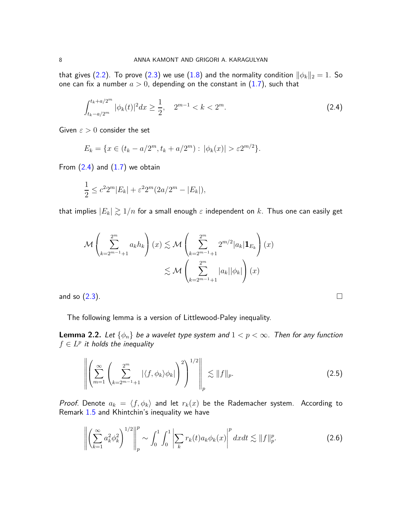that gives [\(2.2\)](#page-6-0). To prove [\(2.3\)](#page-6-1) we use [\(1.8\)](#page-3-1) and the normality condition  $\|\phi_k\|_2 = 1$ . So one can fix a number  $a > 0$ , depending on the constant in  $(1.7)$ , such that

<span id="page-7-0"></span>
$$
\int_{t_k - a/2^m}^{t_k + a/2^m} |\phi_k(t)|^2 dx \ge \frac{1}{2}, \quad 2^{m-1} < k < 2^m. \tag{2.4}
$$

Given *ε >* 0 consider the set

$$
E_k = \{ x \in (t_k - a/2^m, t_k + a/2^m) : |\phi_k(x)| > \varepsilon 2^{m/2} \}.
$$

From  $(2.4)$  and  $(1.7)$  we obtain

$$
\frac{1}{2} \le c^2 2^m |E_k| + \varepsilon^2 2^m (2a/2^m - |E_k|),
$$

that implies  $|E_k| \gtrsim 1/n$  for a small enough  $\varepsilon$  independent on  $k$ . Thus one can easily get

$$
\mathcal{M}\left(\sum_{k=2^{m-1}+1}^{2^m} a_k h_k\right)(x) \lesssim \mathcal{M}\left(\sum_{k=2^{m-1}+1}^{2^m} 2^{m/2} |a_k| \mathbf{1}_{E_k}\right)(x)
$$
  

$$
\lesssim \mathcal{M}\left(\sum_{k=2^{m-1}+1}^{2^m} |a_k| |\phi_k|\right)(x)
$$
  
and so (2.3).

The following lemma is a version of Littlewood-Paley inequality.

**Lemma 2.2.** Let  $\{\phi_n\}$  be a wavelet type system and  $1 < p < \infty$ . Then for any function  $f \in L^p$  it holds the inequality

<span id="page-7-2"></span>
$$
\left\| \left( \sum_{m=1}^{\infty} \left( \sum_{k=2^{m-1}+1}^{2^m} |\langle f, \phi_k \rangle \phi_k| \right)^2 \right)^{1/2} \right\|_p \lesssim \|f\|_p.
$$
 (2.5)

*Proof.* Denote  $a_k = \langle f, \phi_k \rangle$  and let  $r_k(x)$  be the Rademacher system. According to Remark [1.5](#page-5-0) and Khintchin's inequality we have

<span id="page-7-1"></span>
$$
\left\| \left( \sum_{k=1}^{\infty} a_k^2 \phi_k^2 \right)^{1/2} \right\|_p^p \sim \int_0^1 \int_0^1 \left| \sum_k r_k(t) a_k \phi_k(x) \right|^p dx dt \lesssim \|f\|_p^p. \tag{2.6}
$$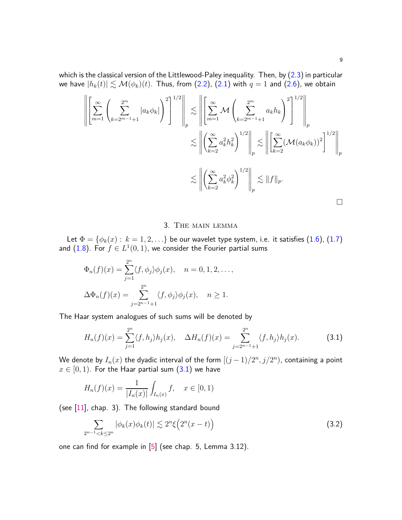which is the classical version of the Littlewood-Paley inequality. Then, by  $(2.3)$  in particular we have  $|h_k(t)| \lesssim \mathcal{M}(\phi_k)(t)$ . Thus, from [\(2.2\)](#page-6-0), [\(2.1\)](#page-6-2) with  $q = 1$  and [\(2.6\)](#page-7-1), we obtain

$$
\left\| \left[ \sum_{m=1}^{\infty} \left( \sum_{k=2^{m-1}+1}^{2^m} |a_k \phi_k| \right)^2 \right]^{1/2} \right\|_p \lesssim \left\| \left[ \sum_{m=1}^{\infty} \mathcal{M} \left( \sum_{k=2^{m-1}+1}^{2^m} a_k h_k \right)^2 \right]^{1/2} \right\|_p
$$
  

$$
\lesssim \left\| \left( \sum_{k=2}^{\infty} a_k^2 h_k^2 \right)^{1/2} \right\|_p \lesssim \left\| \left[ \sum_{k=2}^{\infty} (\mathcal{M}(a_k \phi_k))^2 \right]^{1/2} \right\|_p
$$
  

$$
\lesssim \left\| \left( \sum_{k=2}^{\infty} a_k^2 \phi_k^2 \right)^{1/2} \right\|_p \lesssim \|f\|_p.
$$

# <span id="page-8-0"></span>3. The main lemma

Let  $\Phi = \{\phi_k(x): k = 1, 2, ...\}$  be our wavelet type system, i.e. it satisfies [\(1.6\)](#page-3-2), [\(1.7\)](#page-3-0) and  $(1.8)$ . For  $f \in L^1(0,1)$ , we consider the Fourier partial sums

$$
\Phi_n(f)(x) = \sum_{j=1}^{2^n} \langle f, \phi_j \rangle \phi_j(x), \quad n = 0, 1, 2, \dots,
$$
  

$$
\Delta \Phi_n(f)(x) = \sum_{j=2^{n-1}+1}^{2^n} \langle f, \phi_j \rangle \phi_j(x), \quad n \ge 1.
$$

The Haar system analogues of such sums will be denoted by

$$
H_n(f)(x) = \sum_{j=1}^{2^n} \langle f, h_j \rangle h_j(x), \quad \Delta H_n(f)(x) = \sum_{j=2^{n-1}+1}^{2^n} \langle f, h_j \rangle h_j(x). \tag{3.1}
$$

We denote by  $I_n(x)$  the dyadic interval of the form  $[(j-1)/2^n, j/2^n)$ , containing a point  $x \in [0, 1)$ . For the Haar partial sum  $(3.1)$  we have

$$
H_n(f)(x) = \frac{1}{|I_n(x)|} \int_{I_n(x)} f, \quad x \in [0, 1)
$$

(see  $[11]$ , chap. 3). The following standard bound

<span id="page-8-1"></span>
$$
\sum_{2^{n-1} < k \le 2^n} |\phi_k(x)\phi_k(t)| \lesssim 2^n \xi\Big(2^n(x-t)\Big) \tag{3.2}
$$

one can find for example in [\[5\]](#page-15-13) (see chap. 5, Lemma 3.12).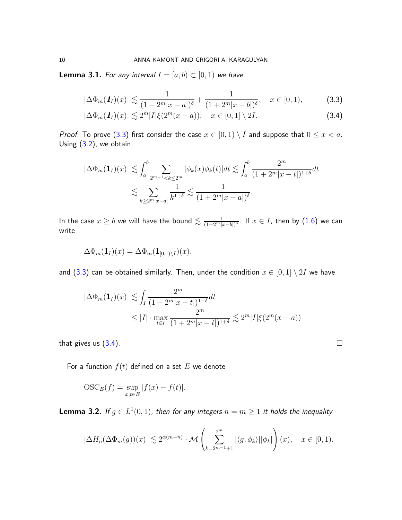**Lemma 3.1.** For any interval  $I = [a, b) \subset [0, 1)$  we have

<span id="page-9-0"></span>
$$
|\Delta \Phi_m(\mathbf{1}_I)(x)| \lesssim \frac{1}{(1+2^m|x-a|)^{\delta}} + \frac{1}{(1+2^m|x-b|)^{\delta}}, \quad x \in [0,1),
$$
 (3.3)

<span id="page-9-1"></span>
$$
|\Delta \Phi_m(\mathbf{1}_I)(x)| \lesssim 2^m |I| \xi(2^m(x-a)), \quad x \in [0,1] \setminus 2I.
$$
 (3.4)

*Proof.* To prove [\(3.3\)](#page-9-0) first consider the case  $x \in [0,1) \setminus I$  and suppose that  $0 \le x < a$ . Using [\(3.2\)](#page-8-1), we obtain

$$
|\Delta \Phi_m(\mathbf{1}_I)(x)| \lesssim \int_a^b \sum_{2^{m-1} \le k \le 2^m} |\phi_k(x)\phi_k(t)| dt \lesssim \int_a^b \frac{2^m}{(1+2^m|x-t|)^{1+\delta}} dt
$$
  

$$
\lesssim \sum_{k \ge 2^m|x-a|} \frac{1}{k^{1+\delta}} \lesssim \frac{1}{(1+2^m|x-a|)^{\delta}}.
$$

In the case  $x\geq b$  we will have the bound  $\lesssim \frac{1}{(1+2^m|x-b|)^{\delta}}.$  If  $x\in I,$  then by  $(1.6)$  we can write

$$
\Delta\Phi_m(\mathbf{1}_I)(x) = \Delta\Phi_m(\mathbf{1}_{[0,1)\setminus I})(x),
$$

and [\(3.3\)](#page-9-0) can be obtained similarly. Then, under the condition  $x \in [0,1] \setminus 2I$  we have

$$
|\Delta \Phi_m(\mathbf{1}_I)(x)| \lesssim \int_I \frac{2^m}{(1+2^m|x-t|)^{1+\delta}} dt
$$
  
 
$$
\leq |I| \cdot \max_{t \in I} \frac{2^m}{(1+2^m|x-t|)^{1+\delta}} \lesssim 2^m |I| \xi(2^m(x-a))
$$

that gives us  $(3.4)$ .

For a function  $f(t)$  defined on a set  $E$  we denote

$$
OSC_E(f) = \sup_{x,t \in E} |f(x) - f(t)|.
$$

<span id="page-9-2"></span>**Lemma 3.2.** If  $g \in L^1(0,1)$ , then for any integers  $n = m \ge 1$  it holds the inequality

$$
|\Delta H_n(\Delta \Phi_m(g))(x)| \lesssim 2^{\alpha(m-n)} \cdot \mathcal{M}\left(\sum_{k=2^{m-1}+1}^{2^m} |\langle g, \phi_k \rangle| |\phi_k|\right)(x), \quad x \in [0,1).
$$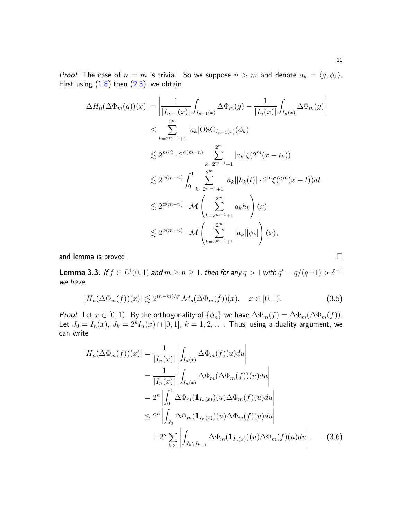*Proof.* The case of  $n = m$  is trivial. So we suppose  $n > m$  and denote  $a_k = \langle g, \phi_k \rangle$ . First using  $(1.8)$  then  $(2.3)$ , we obtain

$$
\begin{split}\n|\Delta H_n(\Delta \Phi_m(g))(x)| &= \left| \frac{1}{|I_{n-1}(x)|} \int_{I_{n-1}(x)} \Delta \Phi_m(g) - \frac{1}{|I_n(x)|} \int_{I_n(x)} \Delta \Phi_m(g) \right| \\
&\leq \sum_{k=2^{m-1}+1}^{2^m} |a_k| \text{OSC}_{I_{n-1}(x)}(\phi_k) \\
&\lesssim 2^{m/2} \cdot 2^{\alpha(m-n)} \sum_{k=2^{m-1}+1}^{2^m} |a_k| \xi(2^m(x-t_k)) \\
&\lesssim 2^{\alpha(m-n)} \int_0^1 \sum_{k=2^{m-1}+1}^{2^m} |a_k||h_k(t)| \cdot 2^m \xi(2^m(x-t))dt \\
&\lesssim 2^{\alpha(m-n)} \cdot \mathcal{M} \left( \sum_{k=2^{m-1}+1}^{2^m} a_k h_k \right)(x) \\
&\lesssim 2^{\alpha(m-n)} \cdot \mathcal{M} \left( \sum_{k=2^{m-1}+1}^{2^m} |a_k||\phi_k| \right)(x),\n\end{split}
$$

and lemma is proved.

<span id="page-10-2"></span>**Lemma 3.3.** If  $f \in L^1(0,1)$  and  $m \geq n \geq 1$ , then for any  $q > 1$  with  $q' = q/(q-1) > \delta^{-1}$ we have

<span id="page-10-1"></span>
$$
|H_n(\Delta \Phi_m(f))(x)| \lesssim 2^{(n-m)/q'} \mathcal{M}_q(\Delta \Phi_m(f))(x), \quad x \in [0,1).
$$
 (3.5)

Proof. Let  $x \in [0, 1)$ . By the orthogonality of  $\{\phi_n\}$  we have  $\Delta \Phi_m(f) = \Delta \Phi_m(\Delta \Phi_m(f))$ . Let  $J_0 = I_n(x)$ ,  $J_k = 2^k I_n(x) \cap [0,1]$ ,  $k = 1,2,...$  Thus, using a duality argument, we can write

<span id="page-10-0"></span>
$$
|H_n(\Delta \Phi_m(f))(x)| = \frac{1}{|I_n(x)|} \left| \int_{I_n(x)} \Delta \Phi_m(f)(u) du \right|
$$
  
\n
$$
= \frac{1}{|I_n(x)|} \left| \int_{I_n(x)} \Delta \Phi_m(\Delta \Phi_m(f))(u) du \right|
$$
  
\n
$$
= 2^n \left| \int_0^1 \Delta \Phi_m(\mathbf{1}_{I_n(x)})(u) \Delta \Phi_m(f)(u) du \right|
$$
  
\n
$$
\leq 2^n \left| \int_{J_0} \Delta \Phi_m(\mathbf{1}_{I_n(x)})(u) \Delta \Phi_m(f)(u) du \right|
$$
  
\n
$$
+ 2^n \sum_{k \geq 1} \left| \int_{J_k \setminus J_{k-1}} \Delta \Phi_m(\mathbf{1}_{I_n(x)})(u) \Delta \Phi_m(f)(u) du \right|.
$$
 (3.6)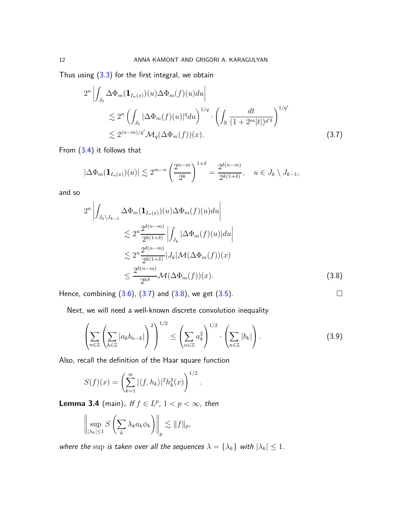Thus using  $(3.3)$  for the first integral, we obtain

$$
2^{n} \left| \int_{J_0} \Delta \Phi_m(\mathbf{1}_{I_n(x)})(u) \Delta \Phi_m(f)(u) du \right|
$$
  
\$\lesssim\$  $2^{n} \left( \int_{J_0} |\Delta \Phi_m(f)(u)|^q du \right)^{1/q} \cdot \left( \int_{\mathbb{R}} \frac{dt}{(1+2^m|t|)^{q'\delta}} \right)^{1/q'}$$   
\$\lesssim\$  $2^{(n-m)/q'} \mathcal{M}_q(\Delta \Phi_m(f))(x).$  (3.7)

From [\(3.4\)](#page-9-1) it follows that

<span id="page-11-1"></span>
$$
|\Delta \Phi_m(\mathbf{1}_{I_n(x)})(u)| \lesssim 2^{m-n} \left(\frac{2^{n-m}}{2^k}\right)^{1+\delta} = \frac{2^{\delta(n-m)}}{2^{k(1+\delta)}}, \quad u \in J_k \setminus J_{k-1},
$$

and so

$$
2^{n} \left| \int_{J_{k} \setminus J_{k-1}} \Delta \Phi_{m}(\mathbf{1}_{I_{n}(x)})(u) \Delta \Phi_{m}(f)(u) du \right|
$$
  
\n
$$
\leq 2^{n} \frac{2^{\delta(n-m)}}{2^{k(1+\delta)}} \left| \int_{J_{k}} |\Delta \Phi_{m}(f)(u)| du \right|
$$
  
\n
$$
\leq 2^{n} \frac{2^{\delta(n-m)}}{2^{k(1+\delta)}} |J_{k}| \mathcal{M}(\Delta \Phi_{m}(f))(x)
$$
  
\n
$$
\leq \frac{2^{\delta(n-m)}}{2^{k\delta}} \mathcal{M}(\Delta \Phi_{m}(f))(x).
$$
 (3.8)

Hence, combining  $(3.6)$ ,  $(3.7)$  and  $(3.8)$ , we get  $(3.5)$ .

Next, we will need a well-known discrete convolution inequality

$$
\left(\sum_{n\in\mathbb{Z}}\left(\sum_{k\in\mathbb{Z}}|a_kb_{n-k}|\right)^2\right)^{1/2}\leq \left(\sum_{n\in\mathbb{Z}}a_k^2\right)^{1/2}\cdot\left(\sum_{n\in\mathbb{Z}}|b_k|\right).
$$
\n(3.9)

<span id="page-11-3"></span><span id="page-11-2"></span>*.*

Also, recall the definition of the Haar square function

$$
S(f)(x) = \left(\sum_{k=1}^{\infty} |\langle f, h_k \rangle|^2 h_k^2(x)\right)^{1/2}
$$

<span id="page-11-0"></span>**Lemma 3.4** (main). If  $f \in L^p$ ,  $1 < p < \infty$ , then

$$
\left\|\sup_{|\lambda_k|\leq 1} S\left(\sum_k \lambda_k a_k \phi_k\right)\right\|_p \lesssim \|f\|_p,
$$

where the sup is taken over all the sequences  $\lambda = {\lambda_k}$  with  $|\lambda_k| \leq 1$ .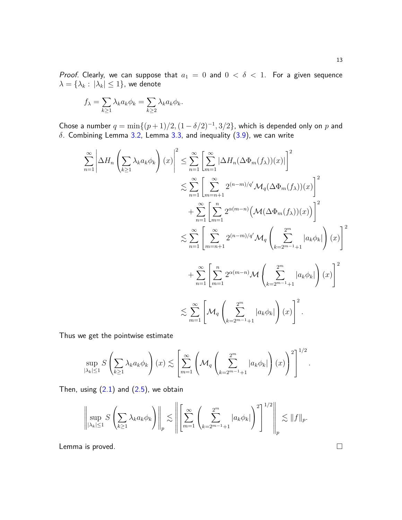Proof. Clearly, we can suppose that  $a_1 = 0$  and  $0 < \delta < 1$ . For a given sequence  $\lambda = \{\lambda_k : |\lambda_k| \leq 1\}$ , we denote

$$
f_{\lambda} = \sum_{k \ge 1} \lambda_k a_k \phi_k = \sum_{k \ge 2} \lambda_k a_k \phi_k.
$$

Chose a number  $q = \min\{(p+1)/2, (1-\delta/2)^{-1}, 3/2\}$ , which is depended only on *p* and *δ*. Combining Lemma [3.2,](#page-9-2) Lemma [3.3,](#page-10-2) and inequality [\(3.9\)](#page-11-3), we can write

$$
\sum_{n=1}^{\infty} \left| \Delta H_n \left( \sum_{k\geq 1} \lambda_k a_k \phi_k \right) (x) \right|^2 \leq \sum_{n=1}^{\infty} \left[ \sum_{m=1}^{\infty} |\Delta H_n(\Delta \Phi_m(f_\lambda))(x)| \right]^2
$$
  

$$
\lesssim \sum_{n=1}^{\infty} \left[ \sum_{m=n+1}^{\infty} 2^{(n-m)/q'} \mathcal{M}_q(\Delta \Phi_m(f_\lambda))(x) \right]^2
$$
  

$$
+ \sum_{n=1}^{\infty} \left[ \sum_{m=1}^{\infty} 2^{\alpha(m-n)} \left( \mathcal{M}(\Delta \Phi_m(f_\lambda))(x) \right) \right]^2
$$
  

$$
\lesssim \sum_{n=1}^{\infty} \left[ \sum_{m=n+1}^{\infty} 2^{(n-m)/q'} \mathcal{M}_q \left( \sum_{k=2^{m-1}+1}^{2^{m}} |a_k \phi_k| \right) (x) \right]^2
$$
  

$$
+ \sum_{n=1}^{\infty} \left[ \sum_{m=1}^{n} 2^{\alpha(m-n)} \mathcal{M} \left( \sum_{k=2^{m-1}+1}^{2^{m}} |a_k \phi_k| \right) (x) \right]^2
$$
  

$$
\lesssim \sum_{m=1}^{\infty} \left[ \mathcal{M}_q \left( \sum_{k=2^{m-1}+1}^{2^{m}} |a_k \phi_k| \right) (x) \right]^2.
$$

Thus we get the pointwise estimate

$$
\sup_{|\lambda_k| \le 1} S\left(\sum_{k\ge 1} \lambda_k a_k \phi_k\right)(x) \lesssim \left[\sum_{m=1}^{\infty} \left(\mathcal{M}_q\left(\sum_{k=2^{m-1}+1}^{2^m} |a_k \phi_k|\right)(x)\right)^2\right]^{1/2}.
$$

Then, using  $(2.1)$  and  $(2.5)$ , we obtain

$$
\left\|\sup_{|\lambda_k|\leq 1} S\left(\sum_{k\geq 1} \lambda_k a_k \phi_k\right)\right\|_p \lesssim \left\|\left[\sum_{m=1}^\infty \left(\sum_{k=2^{m-1}+1}^{2^m} |a_k \phi_k|\right)^2\right]^{1/2}\right\|_p \lesssim \|f\|_p.
$$

Lemma is proved.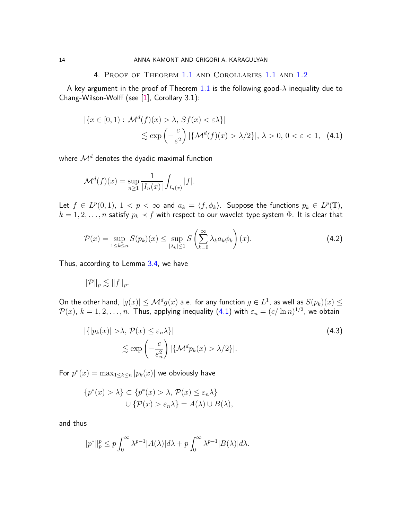#### <span id="page-13-2"></span>4. Proof of Theorem [1.1](#page-3-4) and Corollaries [1.1](#page-3-6) and [1.2](#page-3-7)

<span id="page-13-1"></span>A key argument in the proof of Theorem [1.1](#page-3-4) is the following good- $\lambda$  inequality due to Chang-Wilson-Wolff (see [\[1\]](#page-15-11), Corollary 3.1):

$$
|\{x \in [0,1) : \mathcal{M}^d(f)(x) > \lambda, \, Sf(x) < \varepsilon\lambda\}|
$$
\n
$$
\lesssim \exp\left(-\frac{c}{\varepsilon^2}\right) |\{\mathcal{M}^d(f)(x) > \lambda/2\}|, \, \lambda > 0, \, 0 < \varepsilon < 1,\tag{4.1}
$$

where  $\mathcal{M}^d$  denotes the dyadic maximal function

$$
\mathcal{M}^{d}(f)(x) = \sup_{n \ge 1} \frac{1}{|I_n(x)|} \int_{I_n(x)} |f|.
$$

Let  $f \in L^p(0,1)$ ,  $1 < p < \infty$  and  $a_k = \langle f, \phi_k \rangle$ . Suppose the functions  $p_k \in L^p(\mathbb{T})$ ,  $k = 1, 2, \ldots, n$  satisfy  $p_k \prec f$  with respect to our wavelet type system  $\Phi$ . It is clear that

<span id="page-13-0"></span>
$$
\mathcal{P}(x) = \sup_{1 \le k \le n} S(p_k)(x) \le \sup_{|\lambda_k| \le 1} S\left(\sum_{k=0}^{\infty} \lambda_k a_k \phi_k\right)(x).
$$
 (4.2)

Thus, according to Lemma [3.4,](#page-11-0) we have

$$
\|\mathcal{P}\|_p \lesssim \|f\|_p.
$$

On the other hand,  $|g(x)| \leq \mathcal{M}^d g(x)$  a.e. for any function  $g \in L^1$ , as well as  $S(p_k)(x) \leq$  $\mathcal{P}(x)$ ,  $k = 1, 2, \ldots, n$ . Thus, applying inequality  $(4.1)$  with  $\varepsilon_n = (c/\ln n)^{1/2}$ , we obtain

<span id="page-13-3"></span>
$$
|\{|p_k(x)| > \lambda, \mathcal{P}(x) \le \varepsilon_n \lambda\}|
$$
  
\$\le \exp\left(-\frac{c}{\varepsilon\_n^2}\right) |\{\mathcal{M}^d p\_k(x) > \lambda/2\}|. \tag{4.3}

For  $p^*(x) = \max_{1 \leq k \leq n} |p_k(x)|$  we obviously have

$$
\{p^*(x) > \lambda\} \subset \{p^*(x) > \lambda, \mathcal{P}(x) \le \varepsilon_n \lambda\}
$$

$$
\cup \{\mathcal{P}(x) > \varepsilon_n \lambda\} = A(\lambda) \cup B(\lambda),
$$

and thus

$$
||p^*||_p^p \le p \int_0^\infty \lambda^{p-1} |A(\lambda)| d\lambda + p \int_0^\infty \lambda^{p-1} |B(\lambda)| d\lambda.
$$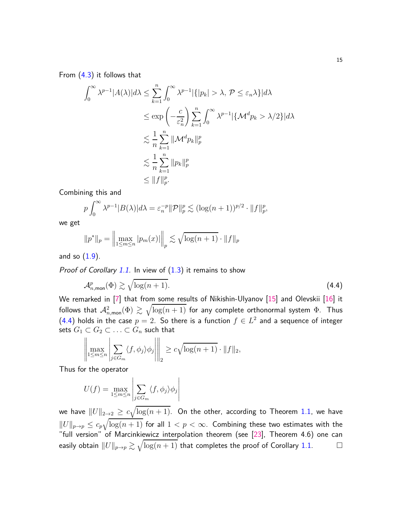From [\(4.3\)](#page-13-3) it follows that

$$
\int_0^\infty \lambda^{p-1} |A(\lambda)| d\lambda \le \sum_{k=1}^n \int_0^\infty \lambda^{p-1} |\{|p_k| > \lambda, \mathcal{P} \le \varepsilon_n \lambda\}| d\lambda
$$
  
\n
$$
\le \exp\left(-\frac{c}{\varepsilon_n^2}\right) \sum_{k=1}^n \int_0^\infty \lambda^{p-1} |\{\mathcal{M}^d p_k > \lambda/2\}| d\lambda
$$
  
\n
$$
\lesssim \frac{1}{n} \sum_{k=1}^n \|\mathcal{M}^d p_k\|_p^p
$$
  
\n
$$
\lesssim \frac{1}{n} \sum_{k=1}^n \|p_k\|_p^p
$$
  
\n
$$
\le \|f\|_p^p.
$$

Combining this and

$$
p \int_0^\infty \lambda^{p-1} |B(\lambda)| d\lambda = \varepsilon_n^{-p} ||\mathcal{P}||_p^p \lesssim (\log(n+1))^{p/2} \cdot ||f||_p^p
$$

we get

$$
||p^*||_p = \left\| \max_{1 \le m \le n} |p_m(x)| \right\|_p \lesssim \sqrt{\log(n+1)} \cdot ||f||_p
$$

and so  $(1.9)$ .

*Proof of Corollary [1.1.](#page-3-6)* In view of  $(1.3)$  it remains to show

$$
\mathcal{A}_{n,\text{mon}}^p(\Phi) \gtrsim \sqrt{\log(n+1)}.\tag{4.4}
$$

<span id="page-14-0"></span>*,*

We remarked in [\[7\]](#page-15-3) that from some results of Nikishin-Ulyanov [\[15\]](#page-15-4) and Olevskii [\[16\]](#page-15-5) it follows that  $\mathcal{A}^2_{n,\mathsf{mon}}(\Phi) \gtrsim \sqrt{\log(n+1)}$  for any complete orthonormal system  $\Phi$ . Thus  $(4.4)$  holds in the case  $p = 2$ . So there is a function  $f \in L^2$  and a sequence of integer sets  $G_1 \subset G_2 \subset \ldots \subset G_n$  such that

$$
\left\|\max_{1\leq m\leq n}\left|\sum_{j\in G_m}\langle f,\phi_j\rangle\phi_j\right|\right\|_2 \geq c\sqrt{\log(n+1)}\cdot \|f\|_2,
$$

Thus for the operator

$$
U(f) = \max_{1 \le m \le n} \left| \sum_{j \in G_m} \langle f, \phi_j \rangle \phi_j \right|
$$

we have  $\|U\|_{2\to 2} \geq \,c \sqrt{\log(n+1)}.$  On the other, according to Theorem [1.1,](#page-3-4) we have  $\|U\|_{p\to p}\leq c_p\sqrt{\log(n+1)}$  for all  $1< p<\infty.$  Combining these two estimates with the "full version" of Marcinkiewicz interpolation theorem (see [\[23\]](#page-16-5), Theorem 4.6) one can easily obtain  $\|U\|_{p\to p}\gtrsim \sqrt{\log(n+1)}$  that completes the proof of Corollary [1.1.](#page-3-6)  $\hskip10mm \square$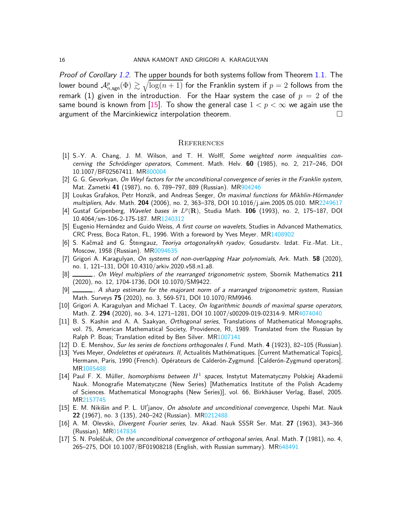Proof of Corollary [1.2.](#page-3-7) The upper bounds for both systems follow from Theorem [1.1.](#page-3-4) The lower bound  ${\cal A}^p_{n,\mathsf{sgn}}(\Phi) \gtrsim \sqrt{\log(n+1)}$  for the Franklin system if  $p=2$  follows from the remark (1) given in the introduction. For the Haar system the case of  $p = 2$  of the same bound is known from [\[15\]](#page-15-4). To show the general case  $1 < p < \infty$  we again use the argument of the Marcinkiewicz interpolation theorem. argument of the Marcinkiewicz interpolation theorem.

#### **REFERENCES**

- <span id="page-15-11"></span>[1] S.-Y. A. Chang, J. M. Wilson, and T. H. Wolff, *Some weighted norm inequalities concerning the Schrödinger operators*, Comment. Math. Helv. 60 (1985), no. 2, 217-246, DOI 10.1007/BF02567411. M[R800004](http://www.ams.org/mathscinet-getitem?mr=800004)
- <span id="page-15-9"></span>[2] G. G. Gevorkyan, *On Weyl factors for the unconditional convergence of series in the Franklin system*, Mat. Zametki **41** (1987), no. 6, 789–797, 889 (Russian). M[R904246](http://www.ams.org/mathscinet-getitem?mr=904246)
- <span id="page-15-12"></span>[3] Loukas Grafakos, Petr Honzík, and Andreas Seeger, *On maximal functions for Mikhlin-Hörmander multipliers*, Adv. Math. **204** (2006), no. 2, 363–378, DOI 10.1016/j.aim.2005.05.010. M[R2249617](http://www.ams.org/mathscinet-getitem?mr=2249617)
- <span id="page-15-14"></span>[4] Gustaf Gripenberg, *Wavelet bases in L p* (**R**), Studia Math. **106** (1993), no. 2, 175–187, DOI 10.4064/sm-106-2-175-187. M[R1240312](http://www.ams.org/mathscinet-getitem?mr=1240312)
- <span id="page-15-13"></span>[5] Eugenio Hernández and Guido Weiss, *A first course on wavelets*, Studies in Advanced Mathematics, CRC Press, Boca Raton, FL, 1996. With a foreword by Yves Meyer. M[R1408902](http://www.ams.org/mathscinet-getitem?mr=1408902)
- <span id="page-15-2"></span>[6] S. Kaˇcmaˇz and G. Steıngauz, ˇ *Teoriya ortogonalnykh ryadov*, Gosudarstv. Izdat. Fiz.-Mat. Lit., Moscow, 1958 (Russian). M[R0094635](http://www.ams.org/mathscinet-getitem?mr=0094635)
- <span id="page-15-3"></span>[7] Grigori A. Karagulyan, *On systems of non-overlapping Haar polynomials*, Ark. Math. **58** (2020), no. 1, 121–131, DOI 10.4310/arkiv.2020.v58.n1.a8.
- <span id="page-15-7"></span>[8] , *On Weyl multipliers of the rearranged trigonometric system*, Sbornik Mathematics **211** (2020), no. 12, 1704-1736, DOI 10.1070/SM9422.
- <span id="page-15-6"></span>[9] , *A sharp estimate for the majorant norm of a rearranged trigonometric system*, Russian Math. Surveys **75** (2020), no. 3, 569-571, DOI 10.1070/RM9946.
- <span id="page-15-16"></span>[10] Grigori A. Karagulyan and Michael T. Lacey, *On logarithmic bounds of maximal sparse operators*, Math. Z. **294** (2020), no. 3-4, 1271–1281, DOI 10.1007/s00209-019-02314-9. M[R4074040](http://www.ams.org/mathscinet-getitem?mr=4074040)
- <span id="page-15-0"></span>[11] B. S. Kashin and A. A. Saakyan, *Orthogonal series*, Translations of Mathematical Monographs, vol. 75, American Mathematical Society, Providence, RI, 1989. Translated from the Russian by Ralph P. Boas; Translation edited by Ben Silver. M[R1007141](http://www.ams.org/mathscinet-getitem?mr=1007141)
- <span id="page-15-1"></span>[12] D. E. Menshov, *Sur les series de fonctions orthogonales I*, Fund. Math. **4** (1923), 82–105 (Russian).
- <span id="page-15-15"></span>[13] Yves Meyer, *Ondelettes et opérateurs. II*, Actualités Mathématiques. [Current Mathematical Topics], Hermann, Paris, 1990 (French). Opérateurs de Calderón-Zygmund. [Calderón-Zygmund operators]. M[R1085488](http://www.ams.org/mathscinet-getitem?mr=1085488)
- <span id="page-15-8"></span>[14] Paul F. X. Müller, *Isomorphisms between H*<sup>1</sup> spaces, Instytut Matematyczny Polskiej Akademii Nauk. Monografie Matematyczne (New Series) [Mathematics Institute of the Polish Academy of Sciences. Mathematical Monographs (New Series)], vol. 66, Birkhäuser Verlag, Basel, 2005. M[R2157745](http://www.ams.org/mathscinet-getitem?mr=2157745)
- <span id="page-15-4"></span>[15] E. M. Nikišin and P. L. Ul'janov, *On absolute and unconditional convergence*, Uspehi Mat. Nauk **22** (1967), no. 3 (135), 240–242 (Russian). M[R0212488](http://www.ams.org/mathscinet-getitem?mr=0212488)
- <span id="page-15-5"></span>[16] A. M. Olevskiı, *Divergent Fourier series*, Izv. Akad. Nauk SSSR Ser. Mat. **27** (1963), 343–366 (Russian). M[R0147834](http://www.ams.org/mathscinet-getitem?mr=0147834)
- <span id="page-15-10"></span>[17] S. N. Poleˇsˇcuk, *On the unconditional convergence of orthogonal series*, Anal. Math. **7** (1981), no. 4, 265–275, DOI 10.1007/BF01908218 (English, with Russian summary). M[R648491](http://www.ams.org/mathscinet-getitem?mr=648491)